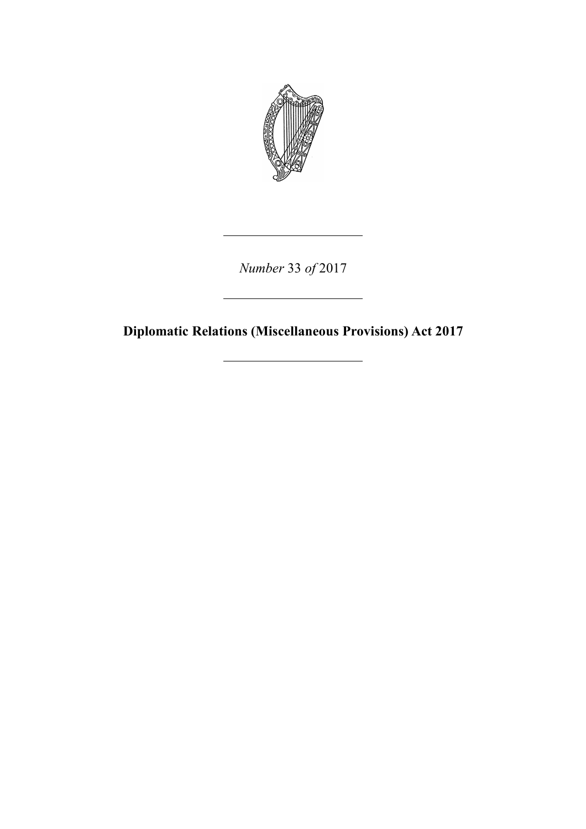

*Number* 33 *of* 2017

**Diplomatic Relations (Miscellaneous Provisions) Act 2017**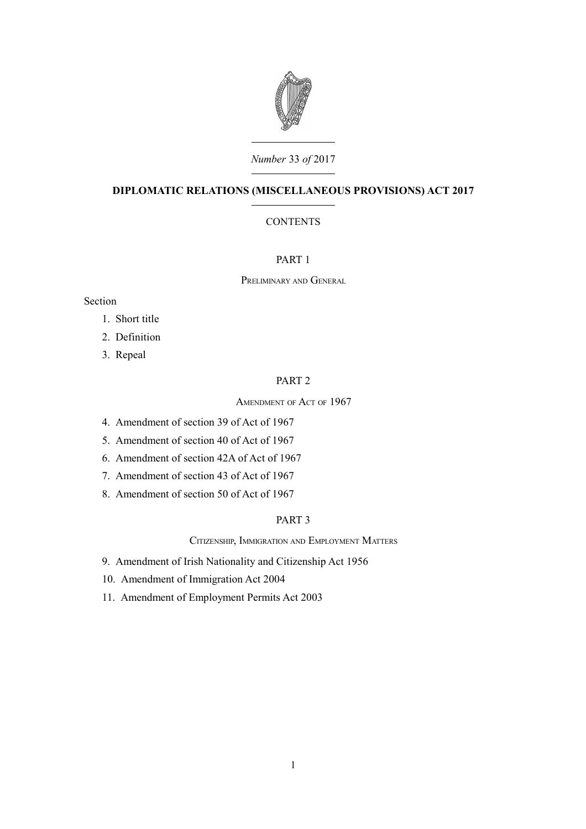

# *Number* 33 *of* 2017

# **DIPLOMATIC RELATIONS (MISCELLANEOUS PROVISIONS) ACT 2017**

# **CONTENTS**

## [PART 1](#page-4-0)

P[RELIMINARY](#page-4-7) AND GENERAL

### Section

- 1. [Short title](#page-4-6)
- 2. [Definition](#page-4-5)
- 3. [Repeal](#page-4-4)

### [PART 2](#page-4-3)

A[MENDMENT](#page-4-2) OF ACT OF 1967

- 4. [Amendment of section 39 of Act of 1967](#page-4-1)
- 5. [Amendment of section 40 of Act of 1967](#page-5-1)
- 6. [Amendment of section 42A of Act of 1967](#page-5-0)
- 7. [Amendment of section 43 of Act of 1967](#page-6-0)
- 8. [Amendment of section 50 of Act of 1967](#page-7-3)

### [PART 3](#page-7-2)

CITIZENSHIP, I[MMIGRATION](#page-7-1) AND EMPLOYMENT MATTERS

- 9. [Amendment of Irish Nationality and Citizenship Act 1956](#page-7-0)
- 10. [Amendment of Immigration Act 2004](#page-8-0)
- 11. [Amendment of Employment Permits Act 2003](#page-9-0)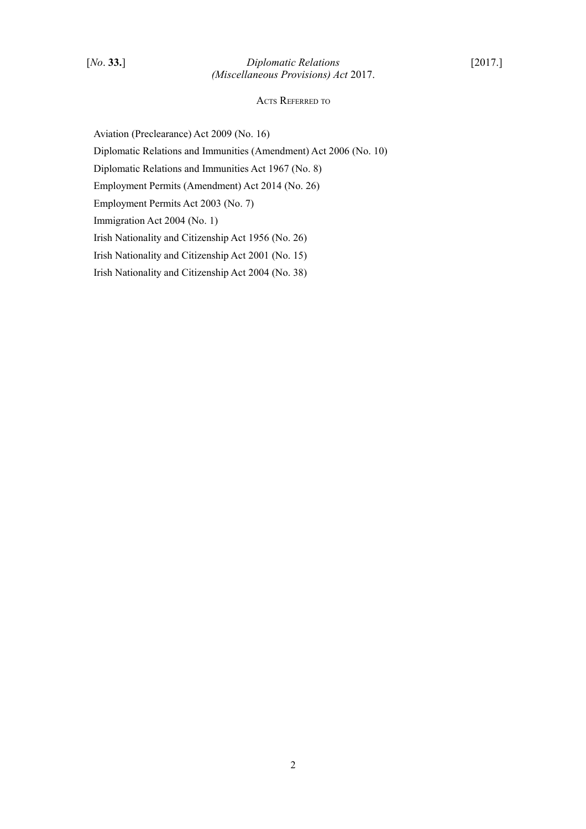### ACTS REFERRED TO

Aviation (Preclearance) Act 2009 (No. 16)

Diplomatic Relations and Immunities (Amendment) Act 2006 (No. 10)

Diplomatic Relations and Immunities Act 1967 (No. 8)

Employment Permits (Amendment) Act 2014 (No. 26)

Employment Permits Act 2003 (No. 7)

Immigration Act 2004 (No. 1)

Irish Nationality and Citizenship Act 1956 (No. 26)

Irish Nationality and Citizenship Act 2001 (No. 15)

Irish Nationality and Citizenship Act 2004 (No. 38)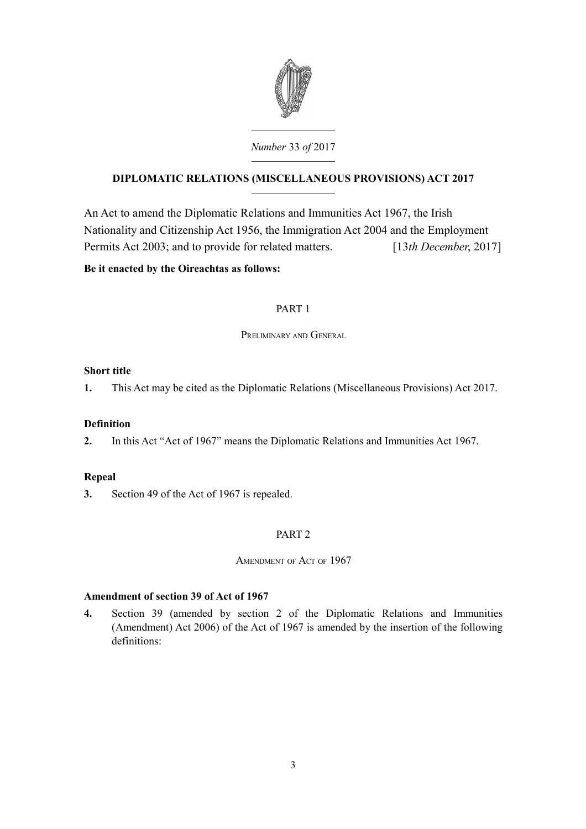

# **DIPLOMATIC RELATIONS (MISCELLANEOUS PROVISIONS) ACT 2017**

An Act to amend the Diplomatic Relations and Immunities Act 1967, the Irish Nationality and Citizenship Act 1956, the Immigration Act 2004 and the Employment Permits Act 2003; and to provide for related matters. [13*th December*, 2017]

# **Be it enacted by the Oireachtas as follows:**

# <span id="page-4-0"></span>PART 1

<span id="page-4-7"></span>PRELIMINARY AND GENERAL

# <span id="page-4-6"></span>**Short title**

**1.** This Act may be cited as the Diplomatic Relations (Miscellaneous Provisions) Act 2017.

# <span id="page-4-5"></span>**Definition**

**2.** In this Act "Act of 1967" means the Diplomatic Relations and Immunities Act 1967.

# <span id="page-4-4"></span>**Repeal**

**3.** Section 49 of the Act of 1967 is repealed.

# <span id="page-4-3"></span>PART 2

<span id="page-4-2"></span>AMENDMENT OF ACT OF 1967

# <span id="page-4-1"></span>**Amendment of section 39 of Act of 1967**

**4.** Section 39 (amended by section 2 of the Diplomatic Relations and Immunities (Amendment) Act 2006) of the Act of 1967 is amended by the insertion of the following definitions: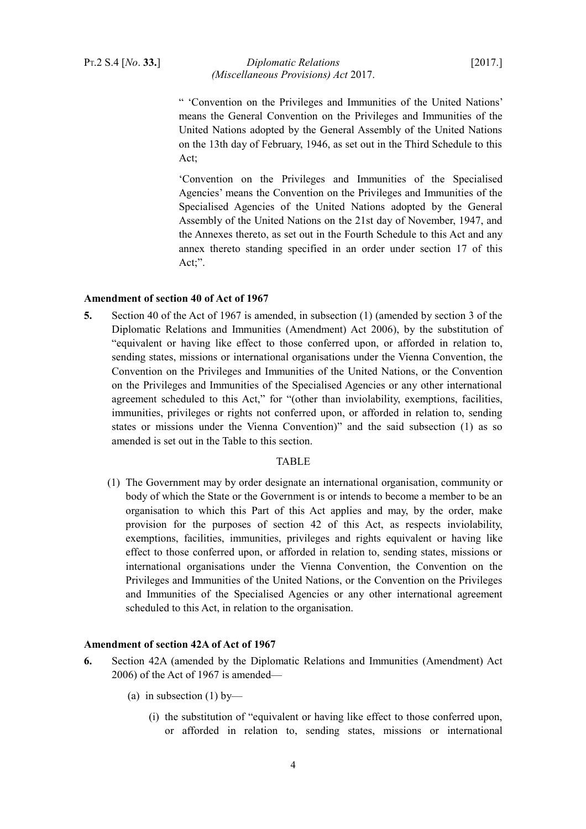### PT.2 S.4 [*No*. **33.**] *Diplomatic Relations* [2017.] *(Miscellaneous Provisions) Act* 2017.

" 'Convention on the Privileges and Immunities of the United Nations' means the General Convention on the Privileges and Immunities of the United Nations adopted by the General Assembly of the United Nations on the 13th day of February, 1946, as set out in the Third Schedule to this Act;

'Convention on the Privileges and Immunities of the Specialised Agencies' means the Convention on the Privileges and Immunities of the Specialised Agencies of the United Nations adopted by the General Assembly of the United Nations on the 21st day of November, 1947, and the Annexes thereto, as set out in the Fourth Schedule to this Act and any annex thereto standing specified in an order under section 17 of this Act;".

#### <span id="page-5-1"></span>**Amendment of section 40 of Act of 1967**

**5.** Section 40 of the Act of 1967 is amended, in subsection (1) (amended by section 3 of the Diplomatic Relations and Immunities (Amendment) Act 2006), by the substitution of "equivalent or having like effect to those conferred upon, or afforded in relation to, sending states, missions or international organisations under the Vienna Convention, the Convention on the Privileges and Immunities of the United Nations, or the Convention on the Privileges and Immunities of the Specialised Agencies or any other international agreement scheduled to this Act," for "(other than inviolability, exemptions, facilities, immunities, privileges or rights not conferred upon, or afforded in relation to, sending states or missions under the Vienna Convention)" and the said subsection (1) as so amended is set out in the Table to this section.

#### TABLE

(1) The Government may by order designate an international organisation, community or body of which the State or the Government is or intends to become a member to be an organisation to which this Part of this Act applies and may, by the order, make provision for the purposes of section 42 of this Act, as respects inviolability, exemptions, facilities, immunities, privileges and rights equivalent or having like effect to those conferred upon, or afforded in relation to, sending states, missions or international organisations under the Vienna Convention, the Convention on the Privileges and Immunities of the United Nations, or the Convention on the Privileges and Immunities of the Specialised Agencies or any other international agreement scheduled to this Act, in relation to the organisation.

# <span id="page-5-0"></span>**Amendment of section 42A of Act of 1967**

- **6.** Section 42A (amended by the Diplomatic Relations and Immunities (Amendment) Act 2006) of the Act of 1967 is amended—
	- (a) in subsection  $(1)$  by—
		- (i) the substitution of "equivalent or having like effect to those conferred upon, or afforded in relation to, sending states, missions or international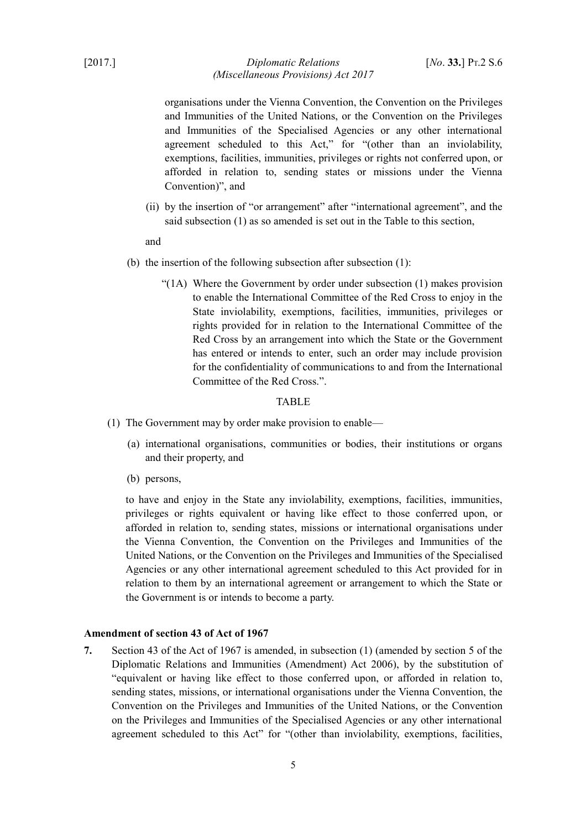## [2017.] *Diplomatic Relations* [*No*. **33.**] PT.2 S.6 *(Miscellaneous Provisions) Act 2017*

organisations under the Vienna Convention, the Convention on the Privileges and Immunities of the United Nations, or the Convention on the Privileges and Immunities of the Specialised Agencies or any other international agreement scheduled to this Act," for "(other than an inviolability, exemptions, facilities, immunities, privileges or rights not conferred upon, or afforded in relation to, sending states or missions under the Vienna Convention)", and

(ii) by the insertion of "or arrangement" after "international agreement", and the said subsection (1) as so amended is set out in the Table to this section,

and

- (b) the insertion of the following subsection after subsection (1):
	- "(1A) Where the Government by order under subsection (1) makes provision to enable the International Committee of the Red Cross to enjoy in the State inviolability, exemptions, facilities, immunities, privileges or rights provided for in relation to the International Committee of the Red Cross by an arrangement into which the State or the Government has entered or intends to enter, such an order may include provision for the confidentiality of communications to and from the International Committee of the Red Cross.".

#### **TABLE**

- (1) The Government may by order make provision to enable—
	- (a) international organisations, communities or bodies, their institutions or organs and their property, and
	- (b) persons,

to have and enjoy in the State any inviolability, exemptions, facilities, immunities, privileges or rights equivalent or having like effect to those conferred upon, or afforded in relation to, sending states, missions or international organisations under the Vienna Convention, the Convention on the Privileges and Immunities of the United Nations, or the Convention on the Privileges and Immunities of the Specialised Agencies or any other international agreement scheduled to this Act provided for in relation to them by an international agreement or arrangement to which the State or the Government is or intends to become a party.

#### <span id="page-6-0"></span>**Amendment of section 43 of Act of 1967**

**7.** Section 43 of the Act of 1967 is amended, in subsection (1) (amended by section 5 of the Diplomatic Relations and Immunities (Amendment) Act 2006), by the substitution of "equivalent or having like effect to those conferred upon, or afforded in relation to, sending states, missions, or international organisations under the Vienna Convention, the Convention on the Privileges and Immunities of the United Nations, or the Convention on the Privileges and Immunities of the Specialised Agencies or any other international agreement scheduled to this Act" for "(other than inviolability, exemptions, facilities,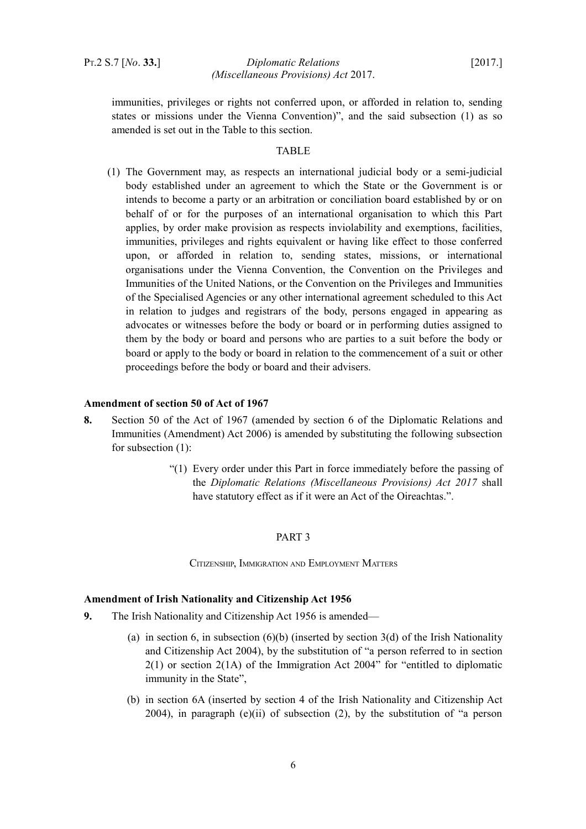immunities, privileges or rights not conferred upon, or afforded in relation to, sending states or missions under the Vienna Convention)", and the said subsection (1) as so amended is set out in the Table to this section.

### **TABLE**

(1) The Government may, as respects an international judicial body or a semi-judicial body established under an agreement to which the State or the Government is or intends to become a party or an arbitration or conciliation board established by or on behalf of or for the purposes of an international organisation to which this Part applies, by order make provision as respects inviolability and exemptions, facilities, immunities, privileges and rights equivalent or having like effect to those conferred upon, or afforded in relation to, sending states, missions, or international organisations under the Vienna Convention, the Convention on the Privileges and Immunities of the United Nations, or the Convention on the Privileges and Immunities of the Specialised Agencies or any other international agreement scheduled to this Act in relation to judges and registrars of the body, persons engaged in appearing as advocates or witnesses before the body or board or in performing duties assigned to them by the body or board and persons who are parties to a suit before the body or board or apply to the body or board in relation to the commencement of a suit or other proceedings before the body or board and their advisers.

#### <span id="page-7-3"></span>**Amendment of section 50 of Act of 1967**

- **8.** Section 50 of the Act of 1967 (amended by section 6 of the Diplomatic Relations and Immunities (Amendment) Act 2006) is amended by substituting the following subsection for subsection (1):
	- "(1) Every order under this Part in force immediately before the passing of the *Diplomatic Relations (Miscellaneous Provisions) Act 2017* shall have statutory effect as if it were an Act of the Oireachtas.".

#### <span id="page-7-2"></span>PART 3

<span id="page-7-1"></span>CITIZENSHIP, IMMIGRATION AND EMPLOYMENT MATTERS

#### <span id="page-7-0"></span>**Amendment of Irish Nationality and Citizenship Act 1956**

- **9.** The Irish Nationality and Citizenship Act 1956 is amended—
	- (a) in section 6, in subsection  $(6)(b)$  (inserted by section  $3(d)$  of the Irish Nationality and Citizenship Act 2004), by the substitution of "a person referred to in section 2(1) or section 2(1A) of the Immigration Act 2004" for "entitled to diplomatic immunity in the State",
	- (b) in section 6A (inserted by section 4 of the Irish Nationality and Citizenship Act 2004), in paragraph  $(e)(ii)$  of subsection  $(2)$ , by the substitution of "a person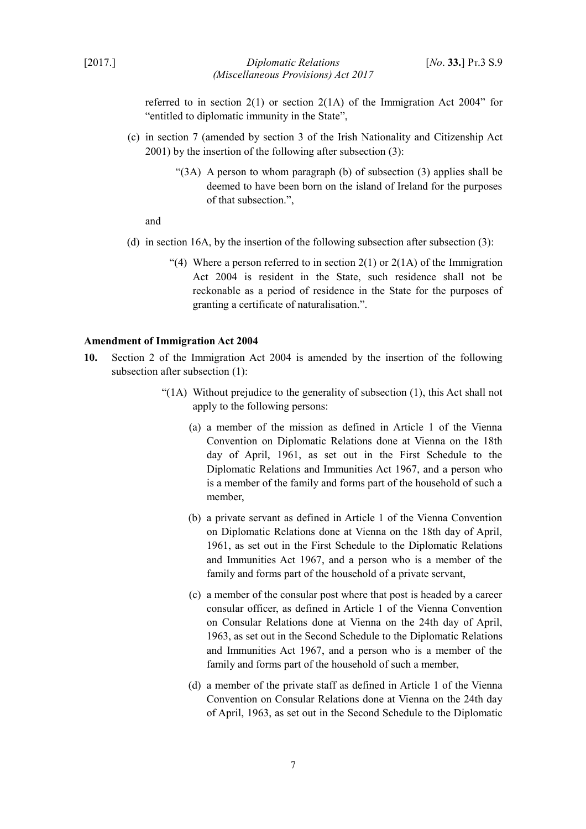[2017.] *Diplomatic Relations* [*No*. **33.**] PT.3 S.9 *(Miscellaneous Provisions) Act 2017*

referred to in section 2(1) or section 2(1A) of the Immigration Act 2004" for "entitled to diplomatic immunity in the State",

- (c) in section 7 (amended by section 3 of the Irish Nationality and Citizenship Act 2001) by the insertion of the following after subsection (3):
	- "(3A) A person to whom paragraph (b) of subsection (3) applies shall be deemed to have been born on the island of Ireland for the purposes of that subsection.",

and

- (d) in section 16A, by the insertion of the following subsection after subsection (3):
	- "(4) Where a person referred to in section  $2(1)$  or  $2(1)$  of the Immigration Act 2004 is resident in the State, such residence shall not be reckonable as a period of residence in the State for the purposes of granting a certificate of naturalisation.".

#### <span id="page-8-0"></span>**Amendment of Immigration Act 2004**

- **10.** Section 2 of the Immigration Act 2004 is amended by the insertion of the following subsection after subsection (1):
	- "(1A) Without prejudice to the generality of subsection (1), this Act shall not apply to the following persons:
		- (a) a member of the mission as defined in Article 1 of the Vienna Convention on Diplomatic Relations done at Vienna on the 18th day of April, 1961, as set out in the First Schedule to the Diplomatic Relations and Immunities Act 1967, and a person who is a member of the family and forms part of the household of such a member,
		- (b) a private servant as defined in Article 1 of the Vienna Convention on Diplomatic Relations done at Vienna on the 18th day of April, 1961, as set out in the First Schedule to the Diplomatic Relations and Immunities Act 1967, and a person who is a member of the family and forms part of the household of a private servant,
		- (c) a member of the consular post where that post is headed by a career consular officer, as defined in Article 1 of the Vienna Convention on Consular Relations done at Vienna on the 24th day of April, 1963, as set out in the Second Schedule to the Diplomatic Relations and Immunities Act 1967, and a person who is a member of the family and forms part of the household of such a member,
		- (d) a member of the private staff as defined in Article 1 of the Vienna Convention on Consular Relations done at Vienna on the 24th day of April, 1963, as set out in the Second Schedule to the Diplomatic